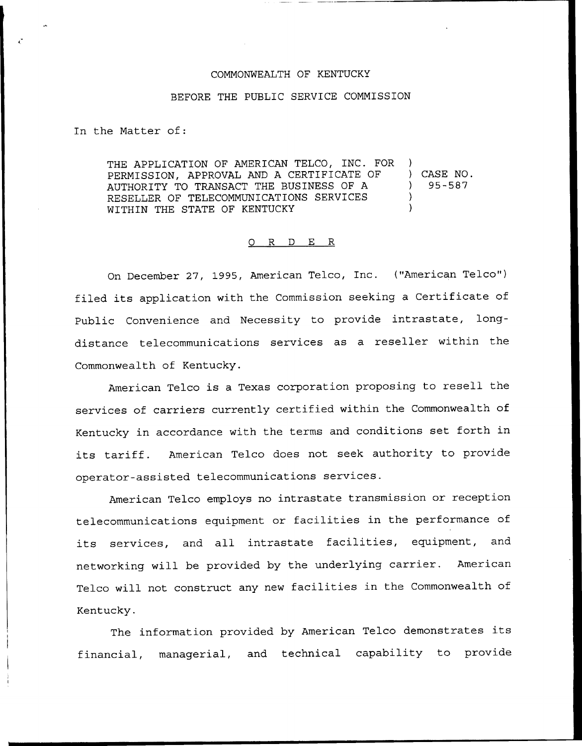## COMMONWEALTH OF KENTUCKY

## BEFORE THE PUBLIC SERVICE COMMISSION

In the Matter of:

THE APPLICATION OF AMERICAN TELCO, INC. FOR )<br>PERMISSION, APPROVAL, AND A CERTIFICATE OF ) CASE NO. PERMISSION, APPROVAL AND A CERTIFICATE OF (CASE NO.<br>AUTHORITY TO TRANSACT THE BUSINESS OF A (25-587) AUTHORITY TO TRANSACT THE BUSINESS OF A RESELLER OF TELECOMMUNICATIONS SERVICES WITHIN THE STATE OF KENTUCKY

## 0 R <sup>D</sup> E R

On December 27, 1995, American Telco, Inc. {"American Telco") filed its application with the Commission seeking <sup>a</sup> Certificate of Public Convenience and Necessity to provide intrastate, longdistance telecommunications services as a reseller within the Commonwealth of Kentucky.

American Telco is <sup>a</sup> Texas corporation proposing to resell the services of carriers currently certified within the Commonwealth of Kentucky in accordance with the terms and conditions set forth in its tariff. American Telco does not seek authority to provide operator-assisted telecommunications services.

American Telco employs no intrastate transmission or reception telecommunications equipment or facilities in the performance of its services, and all intrastate facilities, equipment, and networking will be provided by the underlying carrier. American Telco will not construct any new facilities in the Commonwealth of Kentucky.

The information provided by American Telco demonstrates its financial, managerial, and technical capability to provide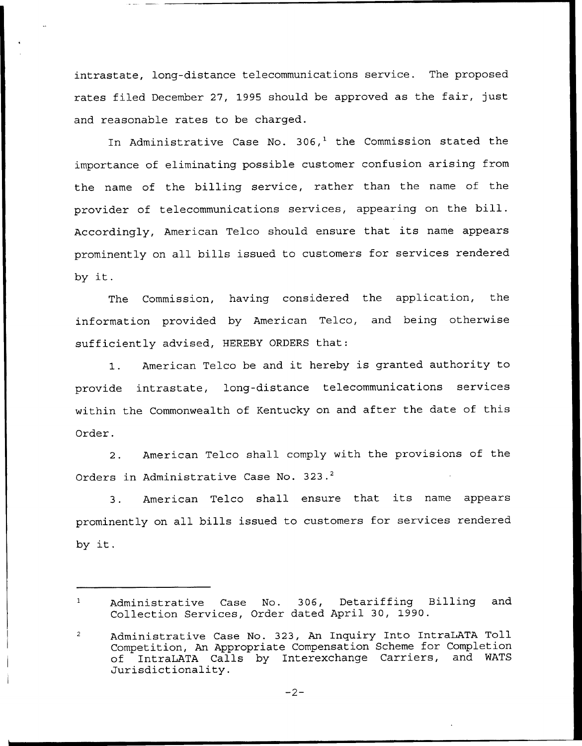intrastate, long-distance telecommunications service. The proposed rates filed December 27, 1995 should be approved as the fair, just and reasonable rates to be charged.

In Administrative Case No. 306,<sup>1</sup> the Commission stated the importance of eliminating possible customer confusion arising from the name of the billing service, rather than the name of the provider of telecommunications services, appearing on the bill. Accordingly, American Telco should ensure that its name appears prominently on all bills issued to customers for services rendered by it.

The Commission, having considered the application, the information provided by American Telco, and being otherwise sufficiently advised, HEREBY ORDERS that:

1. American Telco be and it hereby is granted authority to provide intrastate, long-distance telecommunications services within the Commonwealth of Kentucky on and after the date of this Order.

2. American Telco shall comply with the provisions of the Orders in Administrative Case No. 323.<sup>2</sup>

American Telco shall ensure that its name appears  $3.$ prominently on all bills issued to customers for services rendered by it.

 $-2-$ 

 $\mathbf{1}$ Administrative Case No. 306, Detariffing Billing and Collection Services, Order dated April 30, 1990.

Administrative Case No. 323, An Inquiry Into IntraLATA Toll  $\overline{2}$ Competition, An Appropriate Compensation Scheme for Completion of IntraLATA Calls by Interexchange Carriers, and WATS Jurisdictionality.